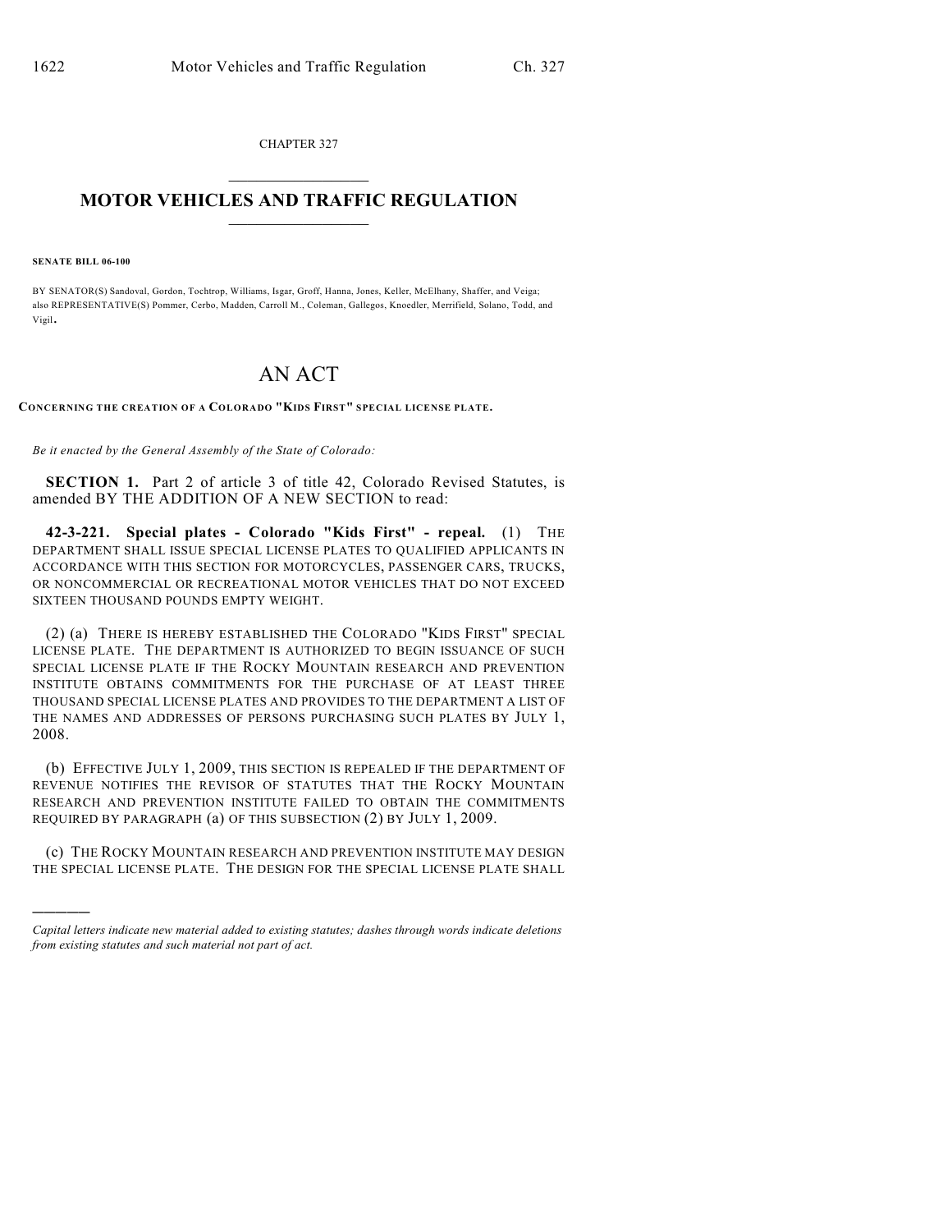CHAPTER 327  $\mathcal{L}_\text{max}$  . The set of the set of the set of the set of the set of the set of the set of the set of the set of the set of the set of the set of the set of the set of the set of the set of the set of the set of the set

## **MOTOR VEHICLES AND TRAFFIC REGULATION**  $\frac{1}{2}$  ,  $\frac{1}{2}$  ,  $\frac{1}{2}$  ,  $\frac{1}{2}$  ,  $\frac{1}{2}$  ,  $\frac{1}{2}$  ,  $\frac{1}{2}$  ,  $\frac{1}{2}$

**SENATE BILL 06-100**

)))))

BY SENATOR(S) Sandoval, Gordon, Tochtrop, Williams, Isgar, Groff, Hanna, Jones, Keller, McElhany, Shaffer, and Veiga; also REPRESENTATIVE(S) Pommer, Cerbo, Madden, Carroll M., Coleman, Gallegos, Knoedler, Merrifield, Solano, Todd, and Vigil.

## AN ACT

**CONCERNING THE CREATION OF A COLORADO "KIDS FIRST" SPECIAL LICENSE PLATE.**

*Be it enacted by the General Assembly of the State of Colorado:*

**SECTION 1.** Part 2 of article 3 of title 42, Colorado Revised Statutes, is amended BY THE ADDITION OF A NEW SECTION to read:

**42-3-221. Special plates - Colorado "Kids First" - repeal.** (1) THE DEPARTMENT SHALL ISSUE SPECIAL LICENSE PLATES TO QUALIFIED APPLICANTS IN ACCORDANCE WITH THIS SECTION FOR MOTORCYCLES, PASSENGER CARS, TRUCKS, OR NONCOMMERCIAL OR RECREATIONAL MOTOR VEHICLES THAT DO NOT EXCEED SIXTEEN THOUSAND POUNDS EMPTY WEIGHT.

(2) (a) THERE IS HEREBY ESTABLISHED THE COLORADO "KIDS FIRST" SPECIAL LICENSE PLATE. THE DEPARTMENT IS AUTHORIZED TO BEGIN ISSUANCE OF SUCH SPECIAL LICENSE PLATE IF THE ROCKY MOUNTAIN RESEARCH AND PREVENTION INSTITUTE OBTAINS COMMITMENTS FOR THE PURCHASE OF AT LEAST THREE THOUSAND SPECIAL LICENSE PLATES AND PROVIDES TO THE DEPARTMENT A LIST OF THE NAMES AND ADDRESSES OF PERSONS PURCHASING SUCH PLATES BY JULY 1, 2008.

(b) EFFECTIVE JULY 1, 2009, THIS SECTION IS REPEALED IF THE DEPARTMENT OF REVENUE NOTIFIES THE REVISOR OF STATUTES THAT THE ROCKY MOUNTAIN RESEARCH AND PREVENTION INSTITUTE FAILED TO OBTAIN THE COMMITMENTS REQUIRED BY PARAGRAPH (a) OF THIS SUBSECTION (2) BY JULY 1, 2009.

(c) THE ROCKY MOUNTAIN RESEARCH AND PREVENTION INSTITUTE MAY DESIGN THE SPECIAL LICENSE PLATE. THE DESIGN FOR THE SPECIAL LICENSE PLATE SHALL

*Capital letters indicate new material added to existing statutes; dashes through words indicate deletions from existing statutes and such material not part of act.*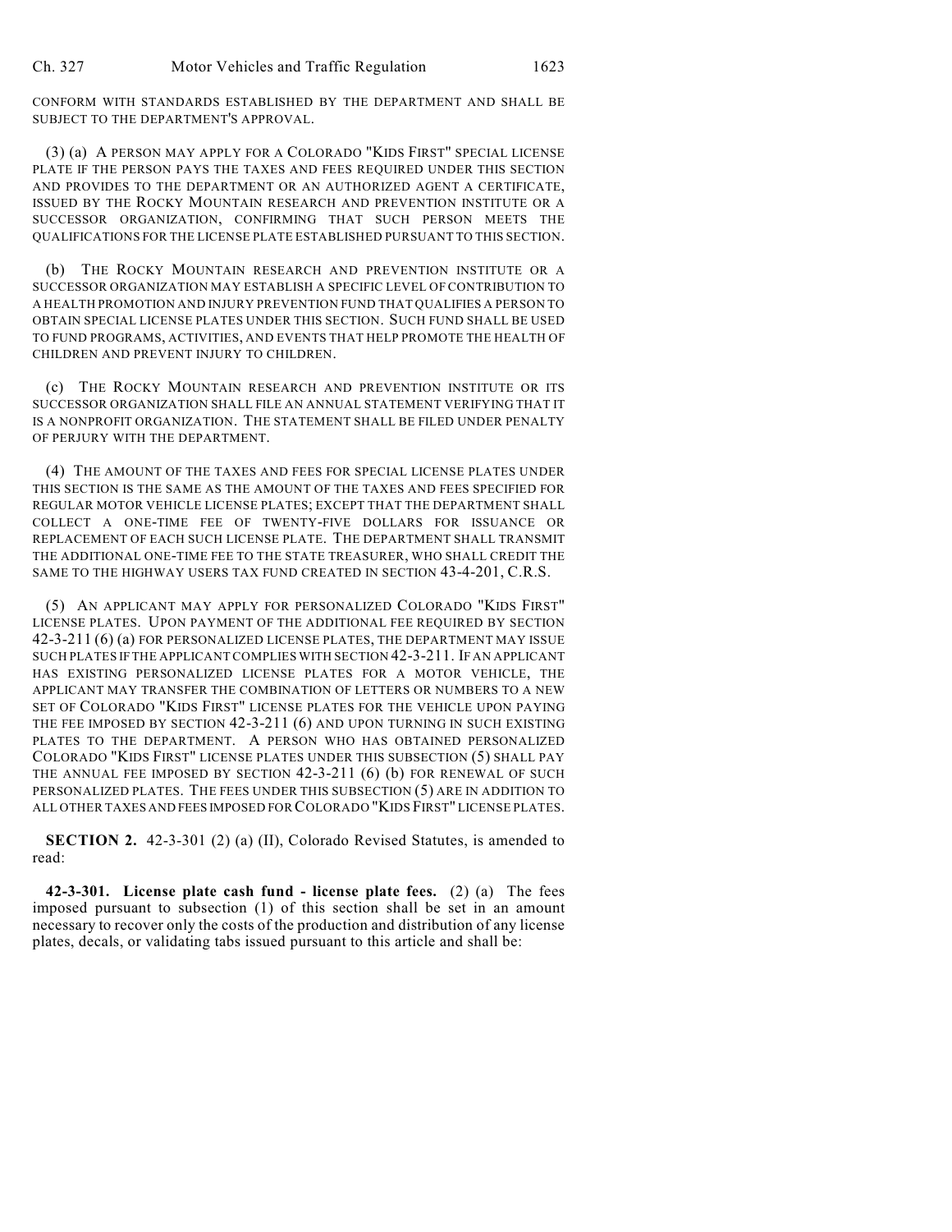CONFORM WITH STANDARDS ESTABLISHED BY THE DEPARTMENT AND SHALL BE SUBJECT TO THE DEPARTMENT'S APPROVAL.

(3) (a) A PERSON MAY APPLY FOR A COLORADO "KIDS FIRST" SPECIAL LICENSE PLATE IF THE PERSON PAYS THE TAXES AND FEES REQUIRED UNDER THIS SECTION AND PROVIDES TO THE DEPARTMENT OR AN AUTHORIZED AGENT A CERTIFICATE, ISSUED BY THE ROCKY MOUNTAIN RESEARCH AND PREVENTION INSTITUTE OR A SUCCESSOR ORGANIZATION, CONFIRMING THAT SUCH PERSON MEETS THE QUALIFICATIONS FOR THE LICENSE PLATE ESTABLISHED PURSUANT TO THIS SECTION.

(b) THE ROCKY MOUNTAIN RESEARCH AND PREVENTION INSTITUTE OR A SUCCESSOR ORGANIZATION MAY ESTABLISH A SPECIFIC LEVEL OF CONTRIBUTION TO A HEALTH PROMOTION AND INJURY PREVENTION FUND THAT QUALIFIES A PERSON TO OBTAIN SPECIAL LICENSE PLATES UNDER THIS SECTION. SUCH FUND SHALL BE USED TO FUND PROGRAMS, ACTIVITIES, AND EVENTS THAT HELP PROMOTE THE HEALTH OF CHILDREN AND PREVENT INJURY TO CHILDREN.

(c) THE ROCKY MOUNTAIN RESEARCH AND PREVENTION INSTITUTE OR ITS SUCCESSOR ORGANIZATION SHALL FILE AN ANNUAL STATEMENT VERIFYING THAT IT IS A NONPROFIT ORGANIZATION. THE STATEMENT SHALL BE FILED UNDER PENALTY OF PERJURY WITH THE DEPARTMENT.

(4) THE AMOUNT OF THE TAXES AND FEES FOR SPECIAL LICENSE PLATES UNDER THIS SECTION IS THE SAME AS THE AMOUNT OF THE TAXES AND FEES SPECIFIED FOR REGULAR MOTOR VEHICLE LICENSE PLATES; EXCEPT THAT THE DEPARTMENT SHALL COLLECT A ONE-TIME FEE OF TWENTY-FIVE DOLLARS FOR ISSUANCE OR REPLACEMENT OF EACH SUCH LICENSE PLATE. THE DEPARTMENT SHALL TRANSMIT THE ADDITIONAL ONE-TIME FEE TO THE STATE TREASURER, WHO SHALL CREDIT THE SAME TO THE HIGHWAY USERS TAX FUND CREATED IN SECTION 43-4-201, C.R.S.

(5) AN APPLICANT MAY APPLY FOR PERSONALIZED COLORADO "KIDS FIRST" LICENSE PLATES. UPON PAYMENT OF THE ADDITIONAL FEE REQUIRED BY SECTION 42-3-211 (6) (a) FOR PERSONALIZED LICENSE PLATES, THE DEPARTMENT MAY ISSUE SUCH PLATES IF THE APPLICANT COMPLIES WITH SECTION 42-3-211. IF AN APPLICANT HAS EXISTING PERSONALIZED LICENSE PLATES FOR A MOTOR VEHICLE, THE APPLICANT MAY TRANSFER THE COMBINATION OF LETTERS OR NUMBERS TO A NEW SET OF COLORADO "KIDS FIRST" LICENSE PLATES FOR THE VEHICLE UPON PAYING THE FEE IMPOSED BY SECTION 42-3-211 (6) AND UPON TURNING IN SUCH EXISTING PLATES TO THE DEPARTMENT. A PERSON WHO HAS OBTAINED PERSONALIZED COLORADO "KIDS FIRST" LICENSE PLATES UNDER THIS SUBSECTION (5) SHALL PAY THE ANNUAL FEE IMPOSED BY SECTION 42-3-211 (6) (b) FOR RENEWAL OF SUCH PERSONALIZED PLATES. THE FEES UNDER THIS SUBSECTION (5) ARE IN ADDITION TO ALL OTHER TAXES AND FEES IMPOSED FOR COLORADO "KIDS FIRST" LICENSE PLATES.

**SECTION 2.** 42-3-301 (2) (a) (II), Colorado Revised Statutes, is amended to read:

**42-3-301. License plate cash fund - license plate fees.** (2) (a) The fees imposed pursuant to subsection (1) of this section shall be set in an amount necessary to recover only the costs of the production and distribution of any license plates, decals, or validating tabs issued pursuant to this article and shall be: